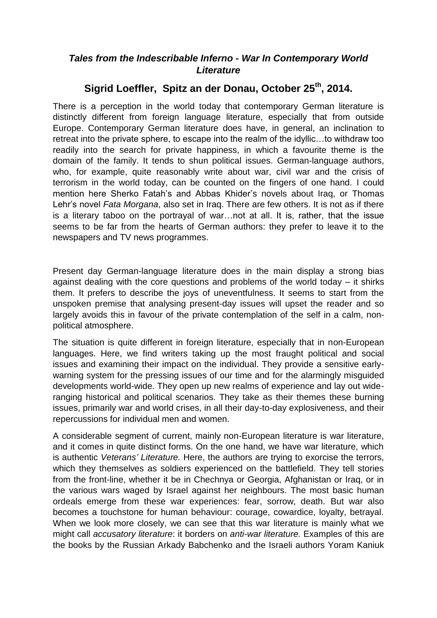## *Tales from the Indescribable Inferno - War In Contemporary World Literature*

# **Sigrid Loeffler, Spitz an der Donau, October 25th, 2014.**

There is a perception in the world today that contemporary German literature is distinctly different from foreign language literature, especially that from outside Europe. Contemporary German literature does have, in general, an inclination to retreat into the private sphere, to escape into the realm of the idyllic…to withdraw too readily into the search for private happiness, in which a favourite theme is the domain of the family. It tends to shun political issues. German-language authors, who, for example, quite reasonably write about war, civil war and the crisis of terrorism in the world today, can be counted on the fingers of one hand. I could mention here Sherko Fatah's and Abbas Khider's novels about Iraq, or Thomas Lehr's novel *Fata Morgana*, also set in Iraq. There are few others. It is not as if there is a literary taboo on the portrayal of war…not at all. It is, rather, that the issue seems to be far from the hearts of German authors: they prefer to leave it to the newspapers and TV news programmes.

Present day German-language literature does in the main display a strong bias against dealing with the core questions and problems of the world today – it shirks them. It prefers to describe the joys of uneventfulness. It seems to start from the unspoken premise that analysing present-day issues will upset the reader and so largely avoids this in favour of the private contemplation of the self in a calm, nonpolitical atmosphere.

The situation is quite different in foreign literature, especially that in non-European languages. Here, we find writers taking up the most fraught political and social issues and examining their impact on the individual. They provide a sensitive earlywarning system for the pressing issues of our time and for the alarmingly misguided developments world-wide. They open up new realms of experience and lay out wideranging historical and political scenarios. They take as their themes these burning issues, primarily war and world crises, in all their day-to-day explosiveness, and their repercussions for individual men and women.

A considerable segment of current, mainly non-European literature is war literature, and it comes in quite distinct forms. On the one hand, we have war literature, which is authentic *Veterans' Literature.* Here, the authors are trying to exorcise the terrors, which they themselves as soldiers experienced on the battlefield. They tell stories from the front-line, whether it be in Chechnya or Georgia, Afghanistan or Iraq, or in the various wars waged by Israel against her neighbours. The most basic human ordeals emerge from these war experiences: fear, sorrow, death. But war also becomes a touchstone for human behaviour: courage, cowardice, loyalty, betrayal. When we look more closely, we can see that this war literature is mainly what we might call *accusatory literature*: it borders on *anti-war literature.* Examples of this are the books by the Russian Arkady Babchenko and the Israeli authors Yoram Kaniuk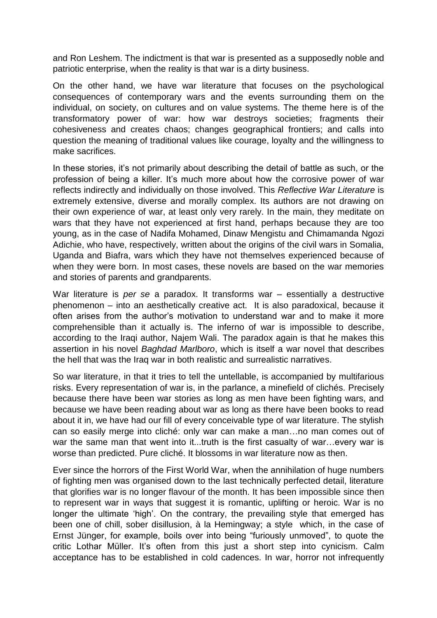and Ron Leshem. The indictment is that war is presented as a supposedly noble and patriotic enterprise, when the reality is that war is a dirty business.

On the other hand, we have war literature that focuses on the psychological consequences of contemporary wars and the events surrounding them on the individual, on society, on cultures and on value systems. The theme here is of the transformatory power of war: how war destroys societies; fragments their cohesiveness and creates chaos; changes geographical frontiers; and calls into question the meaning of traditional values like courage, loyalty and the willingness to make sacrifices.

In these stories, it's not primarily about describing the detail of battle as such, or the profession of being a killer. It's much more about how the corrosive power of war reflects indirectly and individually on those involved. This *Reflective War Literature* is extremely extensive, diverse and morally complex. Its authors are not drawing on their own experience of war, at least only very rarely. In the main, they meditate on wars that they have not experienced at first hand, perhaps because they are too young, as in the case of Nadifa Mohamed, Dinaw Mengistu and Chimamanda Ngozi Adichie, who have, respectively, written about the origins of the civil wars in Somalia, Uganda and Biafra, wars which they have not themselves experienced because of when they were born. In most cases, these novels are based on the war memories and stories of parents and grandparents.

War literature is *per se* a paradox. It transforms war – essentially a destructive phenomenon – into an aesthetically creative act. It is also paradoxical, because it often arises from the author's motivation to understand war and to make it more comprehensible than it actually is. The inferno of war is impossible to describe, according to the Iraqi author, Najem Wali. The paradox again is that he makes this assertion in his novel *Baghdad Marlboro*, which is itself a war novel that describes the hell that was the Iraq war in both realistic and surrealistic narratives.

So war literature, in that it tries to tell the untellable, is accompanied by multifarious risks. Every representation of war is, in the parlance, a minefield of clichés. Precisely because there have been war stories as long as men have been fighting wars, and because we have been reading about war as long as there have been books to read about it in, we have had our fill of every conceivable type of war literature. The stylish can so easily merge into cliché: only war can make a man…no man comes out of war the same man that went into it...truth is the first casualty of war...every war is worse than predicted. Pure cliché. It blossoms in war literature now as then.

Ever since the horrors of the First World War, when the annihilation of huge numbers of fighting men was organised down to the last technically perfected detail, literature that glorifies war is no longer flavour of the month. It has been impossible since then to represent war in ways that suggest it is romantic, uplifting or heroic. War is no longer the ultimate 'high'. On the contrary, the prevailing style that emerged has been one of chill, sober disillusion, à la Hemingway; a style which, in the case of Ernst Jünger, for example, boils over into being "furiously unmoved", to quote the critic Lothar Müller. It's often from this just a short step into cynicism. Calm acceptance has to be established in cold cadences. In war, horror not infrequently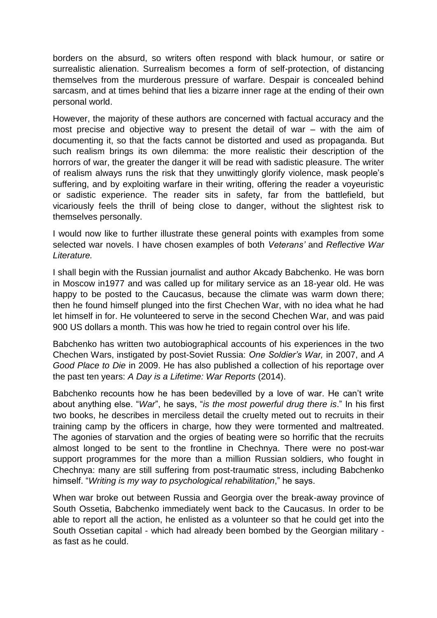borders on the absurd, so writers often respond with black humour, or satire or surrealistic alienation. Surrealism becomes a form of self-protection, of distancing themselves from the murderous pressure of warfare. Despair is concealed behind sarcasm, and at times behind that lies a bizarre inner rage at the ending of their own personal world.

However, the majority of these authors are concerned with factual accuracy and the most precise and objective way to present the detail of war – with the aim of documenting it, so that the facts cannot be distorted and used as propaganda. But such realism brings its own dilemma: the more realistic their description of the horrors of war, the greater the danger it will be read with sadistic pleasure. The writer of realism always runs the risk that they unwittingly glorify violence, mask people's suffering, and by exploiting warfare in their writing, offering the reader a voyeuristic or sadistic experience. The reader sits in safety, far from the battlefield, but vicariously feels the thrill of being close to danger, without the slightest risk to themselves personally.

I would now like to further illustrate these general points with examples from some selected war novels. I have chosen examples of both *Veterans'* and *Reflective War Literature.*

I shall begin with the Russian journalist and author Akcady Babchenko. He was born in Moscow in1977 and was called up for military service as an 18-year old. He was happy to be posted to the Caucasus, because the climate was warm down there; then he found himself plunged into the first Chechen War, with no idea what he had let himself in for. He volunteered to serve in the second Chechen War, and was paid 900 US dollars a month. This was how he tried to regain control over his life.

Babchenko has written two autobiographical accounts of his experiences in the two Chechen Wars, instigated by post-Soviet Russia: *One Soldier's War,* in 2007, and *A Good Place to Die* in 2009. He has also published a collection of his reportage over the past ten years: *A Day is a Lifetime: War Reports* (2014).

Babchenko recounts how he has been bedevilled by a love of war. He can't write about anything else. "*War*", he says, "*is the most powerful drug there is*." In his first two books, he describes in merciless detail the cruelty meted out to recruits in their training camp by the officers in charge, how they were tormented and maltreated. The agonies of starvation and the orgies of beating were so horrific that the recruits almost longed to be sent to the frontline in Chechnya. There were no post-war support programmes for the more than a million Russian soldiers, who fought in Chechnya: many are still suffering from post-traumatic stress, including Babchenko himself. "*Writing is my way to psychological rehabilitation*," he says.

When war broke out between Russia and Georgia over the break-away province of South Ossetia, Babchenko immediately went back to the Caucasus. In order to be able to report all the action, he enlisted as a volunteer so that he could get into the South Ossetian capital - which had already been bombed by the Georgian military as fast as he could.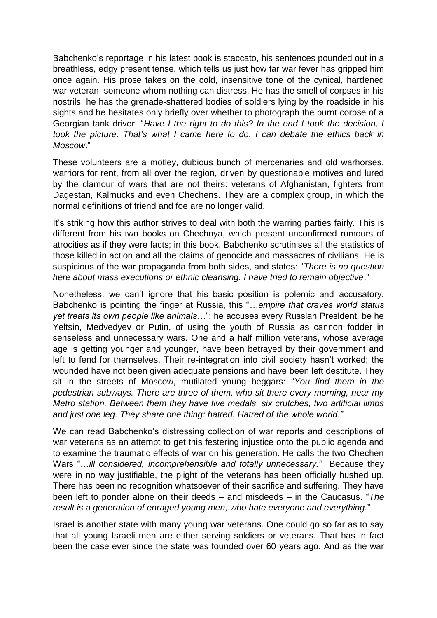Babchenko's reportage in his latest book is staccato, his sentences pounded out in a breathless, edgy present tense, which tells us just how far war fever has gripped him once again. His prose takes on the cold, insensitive tone of the cynical, hardened war veteran, someone whom nothing can distress. He has the smell of corpses in his nostrils, he has the grenade-shattered bodies of soldiers lying by the roadside in his sights and he hesitates only briefly over whether to photograph the burnt corpse of a Georgian tank driver. "*Have I the right to do this? In the end I took the decision, I took the picture. That's what I came here to do. I can debate the ethics back in Moscow*."

These volunteers are a motley, dubious bunch of mercenaries and old warhorses, warriors for rent, from all over the region, driven by questionable motives and lured by the clamour of wars that are not theirs: veterans of Afghanistan, fighters from Dagestan, Kalmucks and even Chechens. They are a complex group, in which the normal definitions of friend and foe are no longer valid.

It's striking how this author strives to deal with both the warring parties fairly. This is different from his two books on Chechnya, which present unconfirmed rumours of atrocities as if they were facts; in this book, Babchenko scrutinises all the statistics of those killed in action and all the claims of genocide and massacres of civilians. He is suspicious of the war propaganda from both sides, and states: "*There is no question here about mass executions or ethnic cleansing. I have tried to remain objective*."

Nonetheless, we can't ignore that his basic position is polemic and accusatory. Babchenko is pointing the finger at Russia, this "*…empire that craves world status yet treats its own people like animals…*"; he accuses every Russian President, be he Yeltsin, Medvedyev or Putin, of using the youth of Russia as cannon fodder in senseless and unnecessary wars. One and a half million veterans, whose average age is getting younger and younger, have been betrayed by their government and left to fend for themselves. Their re-integration into civil society hasn't worked; the wounded have not been given adequate pensions and have been left destitute. They sit in the streets of Moscow, mutilated young beggars: "*You find them in the pedestrian subways. There are three of them, who sit there every morning, near my Metro station. Between them they have five medals, six crutches, two artificial limbs and just one leg. They share one thing: hatred. Hatred of the whole world."*

We can read Babchenko's distressing collection of war reports and descriptions of war veterans as an attempt to get this festering injustice onto the public agenda and to examine the traumatic effects of war on his generation. He calls the two Chechen Wars "...ill considered, incomprehensible and totally unnecessary." Because they were in no way justifiable, the plight of the veterans has been officially hushed up. There has been no recognition whatsoever of their sacrifice and suffering. They have been left to ponder alone on their deeds – and misdeeds – in the Caucasus. "*The result is a generation of enraged young men, who hate everyone and everything.*"

Israel is another state with many young war veterans. One could go so far as to say that all young Israeli men are either serving soldiers or veterans. That has in fact been the case ever since the state was founded over 60 years ago. And as the war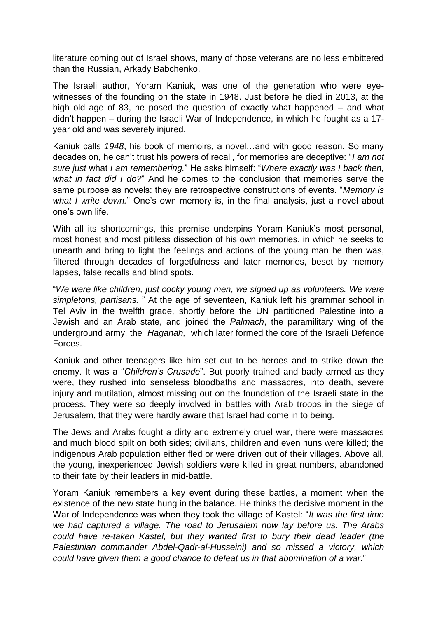literature coming out of Israel shows, many of those veterans are no less embittered than the Russian, Arkady Babchenko.

The Israeli author, Yoram Kaniuk, was one of the generation who were eyewitnesses of the founding on the state in 1948. Just before he died in 2013, at the high old age of 83, he posed the question of exactly what happened – and what didn't happen – during the Israeli War of Independence, in which he fought as a 17 year old and was severely injured.

Kaniuk calls *1948*, his book of memoirs, a novel…and with good reason. So many decades on, he can't trust his powers of recall, for memories are deceptive: "*I am not sure just* what *I am remembering.*" He asks himself: "*Where exactly was I back then, what in fact did I do?*" And he comes to the conclusion that memories serve the same purpose as novels: they are retrospective constructions of events. "*Memory is what I write down.*" One's own memory is, in the final analysis, just a novel about one's own life.

With all its shortcomings, this premise underpins Yoram Kaniuk's most personal, most honest and most pitiless dissection of his own memories, in which he seeks to unearth and bring to light the feelings and actions of the young man he then was, filtered through decades of forgetfulness and later memories, beset by memory lapses, false recalls and blind spots.

"*We were like children, just cocky young men, we signed up as volunteers. We were simpletons, partisans.* " At the age of seventeen, Kaniuk left his grammar school in Tel Aviv in the twelfth grade, shortly before the UN partitioned Palestine into a Jewish and an Arab state, and joined the *Palmach*, the paramilitary wing of the underground army, the *Haganah,* which later formed the core of the Israeli Defence Forces.

Kaniuk and other teenagers like him set out to be heroes and to strike down the enemy. It was a "*Children's Crusade*". But poorly trained and badly armed as they were, they rushed into senseless bloodbaths and massacres, into death, severe injury and mutilation, almost missing out on the foundation of the Israeli state in the process. They were so deeply involved in battles with Arab troops in the siege of Jerusalem, that they were hardly aware that Israel had come in to being.

The Jews and Arabs fought a dirty and extremely cruel war, there were massacres and much blood spilt on both sides; civilians, children and even nuns were killed; the indigenous Arab population either fled or were driven out of their villages. Above all, the young, inexperienced Jewish soldiers were killed in great numbers, abandoned to their fate by their leaders in mid-battle.

Yoram Kaniuk remembers a key event during these battles, a moment when the existence of the new state hung in the balance. He thinks the decisive moment in the War of Independence was when they took the village of Kastel: "*It was the first time we had captured a village. The road to Jerusalem now lay before us. The Arabs could have re-taken Kastel, but they wanted first to bury their dead leader (the Palestinian commander Abdel-Qadr-al-Husseini) and so missed a victory, which could have given them a good chance to defeat us in that abomination of a war.*"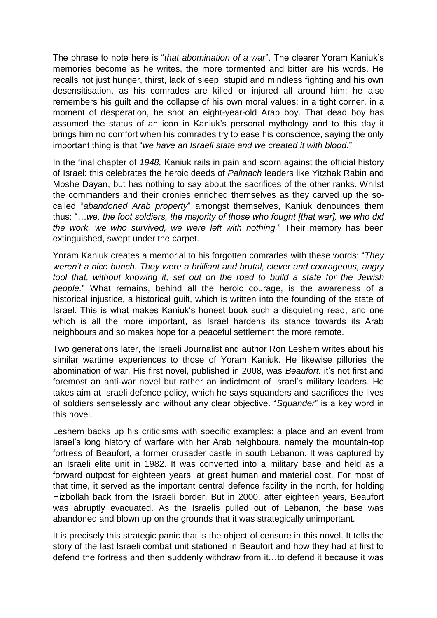The phrase to note here is "*that abomination of a war*". The clearer Yoram Kaniuk's memories become as he writes, the more tormented and bitter are his words. He recalls not just hunger, thirst, lack of sleep, stupid and mindless fighting and his own desensitisation, as his comrades are killed or injured all around him; he also remembers his guilt and the collapse of his own moral values: in a tight corner, in a moment of desperation, he shot an eight-year-old Arab boy. That dead boy has assumed the status of an icon in Kaniuk's personal mythology and to this day it brings him no comfort when his comrades try to ease his conscience, saying the only important thing is that "*we have an Israeli state and we created it with blood.*"

In the final chapter of *1948,* Kaniuk rails in pain and scorn against the official history of Israel: this celebrates the heroic deeds of *Palmach* leaders like Yitzhak Rabin and Moshe Dayan, but has nothing to say about the sacrifices of the other ranks. Whilst the commanders and their cronies enriched themselves as they carved up the socalled "*abandoned Arab property*" amongst themselves, Kaniuk denounces them thus: "*…we, the foot soldiers, the majority of those who fought [that war], we who did the work, we who survived, we were left with nothing.*" Their memory has been extinguished, swept under the carpet.

Yoram Kaniuk creates a memorial to his forgotten comrades with these words: "*They weren't a nice bunch. They were a brilliant and brutal, clever and courageous, angry tool that, without knowing it, set out on the road to build a state for the Jewish people.*" What remains, behind all the heroic courage, is the awareness of a historical injustice, a historical guilt, which is written into the founding of the state of Israel. This is what makes Kaniuk's honest book such a disquieting read, and one which is all the more important, as Israel hardens its stance towards its Arab neighbours and so makes hope for a peaceful settlement the more remote.

Two generations later, the Israeli Journalist and author Ron Leshem writes about his similar wartime experiences to those of Yoram Kaniuk. He likewise pillories the abomination of war. His first novel, published in 2008, was *Beaufort:* it's not first and foremost an anti-war novel but rather an indictment of Israel's military leaders. He takes aim at Israeli defence policy, which he says squanders and sacrifices the lives of soldiers senselessly and without any clear objective. "*Squander*" is a key word in this novel.

Leshem backs up his criticisms with specific examples: a place and an event from Israel's long history of warfare with her Arab neighbours, namely the mountain-top fortress of Beaufort, a former crusader castle in south Lebanon. It was captured by an Israeli elite unit in 1982. It was converted into a military base and held as a forward outpost for eighteen years, at great human and material cost. For most of that time, it served as the important central defence facility in the north, for holding Hizbollah back from the Israeli border. But in 2000, after eighteen years, Beaufort was abruptly evacuated. As the Israelis pulled out of Lebanon, the base was abandoned and blown up on the grounds that it was strategically unimportant.

It is precisely this strategic panic that is the object of censure in this novel. It tells the story of the last Israeli combat unit stationed in Beaufort and how they had at first to defend the fortress and then suddenly withdraw from it…to defend it because it was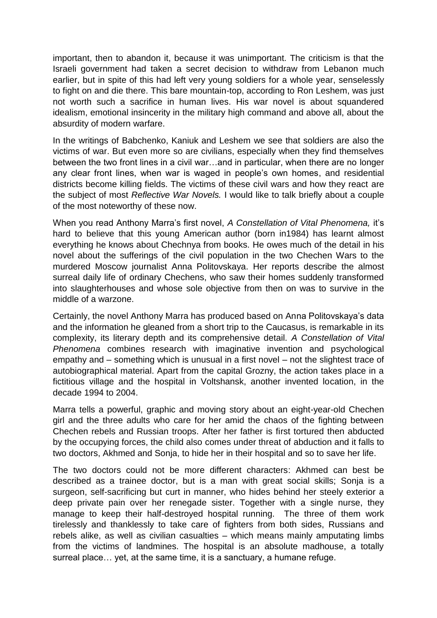important, then to abandon it, because it was unimportant. The criticism is that the Israeli government had taken a secret decision to withdraw from Lebanon much earlier, but in spite of this had left very young soldiers for a whole year, senselessly to fight on and die there. This bare mountain-top, according to Ron Leshem, was just not worth such a sacrifice in human lives. His war novel is about squandered idealism, emotional insincerity in the military high command and above all, about the absurdity of modern warfare.

In the writings of Babchenko, Kaniuk and Leshem we see that soldiers are also the victims of war. But even more so are civilians, especially when they find themselves between the two front lines in a civil war…and in particular, when there are no longer any clear front lines, when war is waged in people's own homes, and residential districts become killing fields. The victims of these civil wars and how they react are the subject of most *Reflective War Novels.* I would like to talk briefly about a couple of the most noteworthy of these now.

When you read Anthony Marra's first novel, *A Constellation of Vital Phenomena,* it's hard to believe that this young American author (born in1984) has learnt almost everything he knows about Chechnya from books. He owes much of the detail in his novel about the sufferings of the civil population in the two Chechen Wars to the murdered Moscow journalist Anna Politovskaya. Her reports describe the almost surreal daily life of ordinary Chechens, who saw their homes suddenly transformed into slaughterhouses and whose sole objective from then on was to survive in the middle of a warzone.

Certainly, the novel Anthony Marra has produced based on Anna Politovskaya's data and the information he gleaned from a short trip to the Caucasus, is remarkable in its complexity, its literary depth and its comprehensive detail. *A Constellation of Vital Phenomena* combines research with imaginative invention and psychological empathy and – something which is unusual in a first novel – not the slightest trace of autobiographical material. Apart from the capital Grozny, the action takes place in a fictitious village and the hospital in Voltshansk, another invented location, in the decade 1994 to 2004.

Marra tells a powerful, graphic and moving story about an eight-year-old Chechen girl and the three adults who care for her amid the chaos of the fighting between Chechen rebels and Russian troops. After her father is first tortured then abducted by the occupying forces, the child also comes under threat of abduction and it falls to two doctors, Akhmed and Sonja, to hide her in their hospital and so to save her life.

The two doctors could not be more different characters: Akhmed can best be described as a trainee doctor, but is a man with great social skills; Sonja is a surgeon, self-sacrificing but curt in manner, who hides behind her steely exterior a deep private pain over her renegade sister. Together with a single nurse, they manage to keep their half-destroyed hospital running. The three of them work tirelessly and thanklessly to take care of fighters from both sides, Russians and rebels alike, as well as civilian casualties – which means mainly amputating limbs from the victims of landmines. The hospital is an absolute madhouse, a totally surreal place… yet, at the same time, it is a sanctuary, a humane refuge.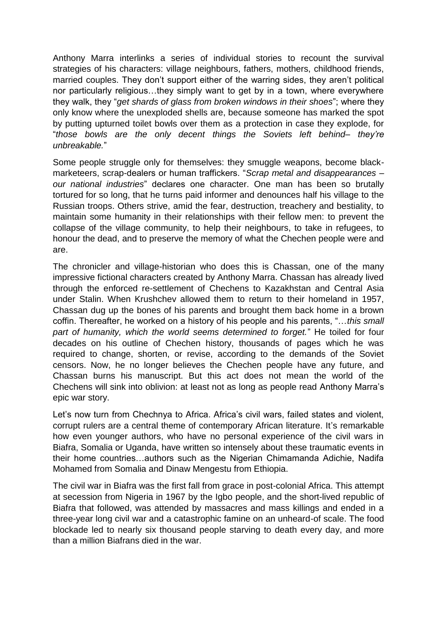Anthony Marra interlinks a series of individual stories to recount the survival strategies of his characters: village neighbours, fathers, mothers, childhood friends, married couples. They don't support either of the warring sides, they aren't political nor particularly religious…they simply want to get by in a town, where everywhere they walk, they "*get shards of glass from broken windows in their shoes*"; where they only know where the unexploded shells are, because someone has marked the spot by putting upturned toilet bowls over them as a protection in case they explode, for "*those bowls are the only decent things the Soviets left behind– they're unbreakable.*"

Some people struggle only for themselves: they smuggle weapons, become blackmarketeers, scrap-dealers or human traffickers. "*Scrap metal and disappearances – our national industries*" declares one character. One man has been so brutally tortured for so long, that he turns paid informer and denounces half his village to the Russian troops. Others strive, amid the fear, destruction, treachery and bestiality, to maintain some humanity in their relationships with their fellow men: to prevent the collapse of the village community, to help their neighbours, to take in refugees, to honour the dead, and to preserve the memory of what the Chechen people were and are.

The chronicler and village-historian who does this is Chassan, one of the many impressive fictional characters created by Anthony Marra. Chassan has already lived through the enforced re-settlement of Chechens to Kazakhstan and Central Asia under Stalin. When Krushchev allowed them to return to their homeland in 1957, Chassan dug up the bones of his parents and brought them back home in a brown coffin. Thereafter, he worked on a history of his people and his parents, "…*this small part of humanity, which the world seems determined to forget.*" He toiled for four decades on his outline of Chechen history, thousands of pages which he was required to change, shorten, or revise, according to the demands of the Soviet censors. Now, he no longer believes the Chechen people have any future, and Chassan burns his manuscript. But this act does not mean the world of the Chechens will sink into oblivion: at least not as long as people read Anthony Marra's epic war story.

Let's now turn from Chechnya to Africa. Africa's civil wars, failed states and violent, corrupt rulers are a central theme of contemporary African literature. It's remarkable how even younger authors, who have no personal experience of the civil wars in Biafra, Somalia or Uganda, have written so intensely about these traumatic events in their home countries…authors such as the Nigerian Chimamanda Adichie, Nadifa Mohamed from Somalia and Dinaw Mengestu from Ethiopia.

The civil war in Biafra was the first fall from grace in post-colonial Africa. This attempt at secession from Nigeria in 1967 by the Igbo people, and the short-lived republic of Biafra that followed, was attended by massacres and mass killings and ended in a three-year long civil war and a catastrophic famine on an unheard-of scale. The food blockade led to nearly six thousand people starving to death every day, and more than a million Biafrans died in the war.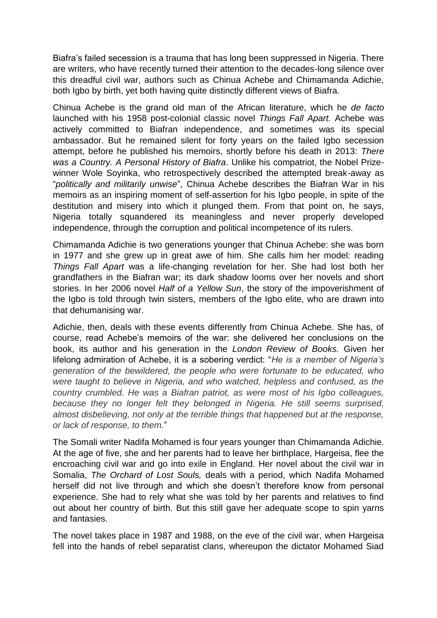Biafra's failed secession is a trauma that has long been suppressed in Nigeria. There are writers, who have recently turned their attention to the decades-long silence over this dreadful civil war, authors such as Chinua Achebe and Chimamanda Adichie, both Igbo by birth, yet both having quite distinctly different views of Biafra.

Chinua Achebe is the grand old man of the African literature, which he *de facto* launched with his 1958 post-colonial classic novel *Things Fall Apart.* Achebe was actively committed to Biafran independence, and sometimes was its special ambassador. But he remained silent for forty years on the failed Igbo secession attempt, before he published his memoirs, shortly before his death in 2013: *There was a Country. A Personal History of Biafra*. Unlike his compatriot, the Nobel Prizewinner Wole Soyinka, who retrospectively described the attempted break-away as "*politically and militarily unwise*", Chinua Achebe describes the Biafran War in his memoirs as an inspiring moment of self-assertion for his Igbo people, in spite of the destitution and misery into which it plunged them. From that point on, he says, Nigeria totally squandered its meaningless and never properly developed independence, through the corruption and political incompetence of its rulers.

Chimamanda Adichie is two generations younger that Chinua Achebe: she was born in 1977 and she grew up in great awe of him. She calls him her model: reading *Things Fall Apart* was a life-changing revelation for her. She had lost both her grandfathers in the Biafran war; its dark shadow looms over her novels and short stories. In her 2006 novel *Half of a Yellow Sun*, the story of the impoverishment of the Igbo is told through twin sisters, members of the Igbo elite, who are drawn into that dehumanising war.

Adichie, then, deals with these events differently from Chinua Achebe. She has, of course, read Achebe's memoirs of the war: she delivered her conclusions on the book, its author and his generation in the *London Review of Books.* Given her lifelong admiration of Achebe, it is a sobering verdict: "*He is a member of Nigeria's generation of the bewildered, the people who were fortunate to be educated, who were taught to believe in Nigeria, and who watched, helpless and confused, as the country crumbled. He was a Biafran patriot, as were most of his Igbo colleagues, because they no longer felt they belonged in Nigeria. He still seems surprised, almost disbelieving, not only at the terrible things that happened but at the response, or lack of response, to them.*"

The Somali writer Nadifa Mohamed is four years younger than Chimamanda Adichie. At the age of five, she and her parents had to leave her birthplace, Hargeisa, flee the encroaching civil war and go into exile in England. Her novel about the civil war in Somalia, *The Orchard of Lost Souls,* deals with a period, which Nadifa Mohamed herself did not live through and which she doesn't therefore know from personal experience. She had to rely what she was told by her parents and relatives to find out about her country of birth. But this still gave her adequate scope to spin yarns and fantasies.

The novel takes place in 1987 and 1988, on the eve of the civil war, when Hargeisa fell into the hands of rebel separatist clans, whereupon the dictator Mohamed Siad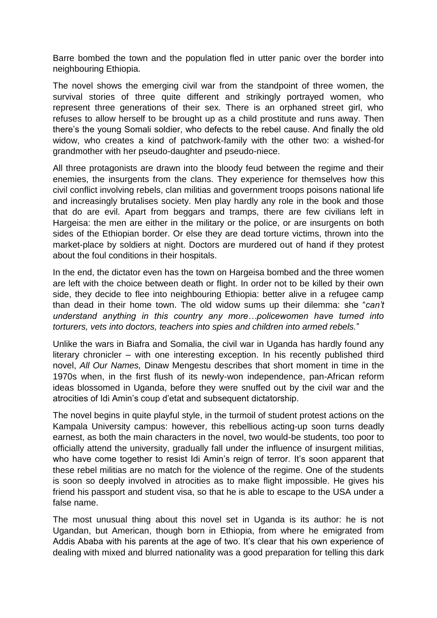Barre bombed the town and the population fled in utter panic over the border into neighbouring Ethiopia.

The novel shows the emerging civil war from the standpoint of three women, the survival stories of three quite different and strikingly portrayed women, who represent three generations of their sex. There is an orphaned street girl, who refuses to allow herself to be brought up as a child prostitute and runs away. Then there's the young Somali soldier, who defects to the rebel cause. And finally the old widow, who creates a kind of patchwork-family with the other two: a wished-for grandmother with her pseudo-daughter and pseudo-niece.

All three protagonists are drawn into the bloody feud between the regime and their enemies, the insurgents from the clans. They experience for themselves how this civil conflict involving rebels, clan militias and government troops poisons national life and increasingly brutalises society. Men play hardly any role in the book and those that do are evil. Apart from beggars and tramps, there are few civilians left in Hargeisa: the men are either in the military or the police, or are insurgents on both sides of the Ethiopian border. Or else they are dead torture victims, thrown into the market-place by soldiers at night. Doctors are murdered out of hand if they protest about the foul conditions in their hospitals.

In the end, the dictator even has the town on Hargeisa bombed and the three women are left with the choice between death or flight. In order not to be killed by their own side, they decide to flee into neighbouring Ethiopia: better alive in a refugee camp than dead in their home town. The old widow sums up their dilemma: she "*can't understand anything in this country any more…policewomen have turned into torturers, vets into doctors, teachers into spies and children into armed rebels.*"

Unlike the wars in Biafra and Somalia, the civil war in Uganda has hardly found any literary chronicler – with one interesting exception. In his recently published third novel, *All Our Names,* Dinaw Mengestu describes that short moment in time in the 1970s when, in the first flush of its newly-won independence, pan-African reform ideas blossomed in Uganda, before they were snuffed out by the civil war and the atrocities of Idi Amin's coup d'etat and subsequent dictatorship.

The novel begins in quite playful style, in the turmoil of student protest actions on the Kampala University campus: however, this rebellious acting-up soon turns deadly earnest, as both the main characters in the novel, two would-be students, too poor to officially attend the university, gradually fall under the influence of insurgent militias, who have come together to resist Idi Amin's reign of terror. It's soon apparent that these rebel militias are no match for the violence of the regime. One of the students is soon so deeply involved in atrocities as to make flight impossible. He gives his friend his passport and student visa, so that he is able to escape to the USA under a false name.

The most unusual thing about this novel set in Uganda is its author: he is not Ugandan, but American, though born in Ethiopia, from where he emigrated from Addis Ababa with his parents at the age of two. It's clear that his own experience of dealing with mixed and blurred nationality was a good preparation for telling this dark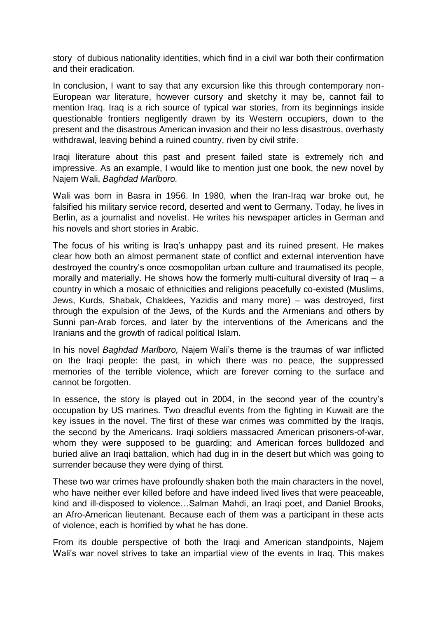story of dubious nationality identities, which find in a civil war both their confirmation and their eradication.

In conclusion, I want to say that any excursion like this through contemporary non-European war literature, however cursory and sketchy it may be, cannot fail to mention Iraq. Iraq is a rich source of typical war stories, from its beginnings inside questionable frontiers negligently drawn by its Western occupiers, down to the present and the disastrous American invasion and their no less disastrous, overhasty withdrawal, leaving behind a ruined country, riven by civil strife.

Iraqi literature about this past and present failed state is extremely rich and impressive. As an example, I would like to mention just one book, the new novel by Najem Wali, *Baghdad Marlboro.*

Wali was born in Basra in 1956. In 1980, when the Iran-Iraq war broke out, he falsified his military service record, deserted and went to Germany. Today, he lives in Berlin, as a journalist and novelist. He writes his newspaper articles in German and his novels and short stories in Arabic.

The focus of his writing is Iraq's unhappy past and its ruined present. He makes clear how both an almost permanent state of conflict and external intervention have destroyed the country's once cosmopolitan urban culture and traumatised its people, morally and materially. He shows how the formerly multi-cultural diversity of Iraq – a country in which a mosaic of ethnicities and religions peacefully co-existed (Muslims, Jews, Kurds, Shabak, Chaldees, Yazidis and many more) – was destroyed, first through the expulsion of the Jews, of the Kurds and the Armenians and others by Sunni pan-Arab forces, and later by the interventions of the Americans and the Iranians and the growth of radical political Islam.

In his novel *Baghdad Marlboro,* Najem Wali's theme is the traumas of war inflicted on the Iraqi people: the past, in which there was no peace, the suppressed memories of the terrible violence, which are forever coming to the surface and cannot be forgotten.

In essence, the story is played out in 2004, in the second year of the country's occupation by US marines. Two dreadful events from the fighting in Kuwait are the key issues in the novel. The first of these war crimes was committed by the Iraqis, the second by the Americans. Iraqi soldiers massacred American prisoners-of-war, whom they were supposed to be guarding; and American forces bulldozed and buried alive an Iraqi battalion, which had dug in in the desert but which was going to surrender because they were dying of thirst.

These two war crimes have profoundly shaken both the main characters in the novel, who have neither ever killed before and have indeed lived lives that were peaceable, kind and ill-disposed to violence…Salman Mahdi, an Iraqi poet, and Daniel Brooks, an Afro-American lieutenant. Because each of them was a participant in these acts of violence, each is horrified by what he has done.

From its double perspective of both the Iraqi and American standpoints, Najem Wali's war novel strives to take an impartial view of the events in Iraq. This makes